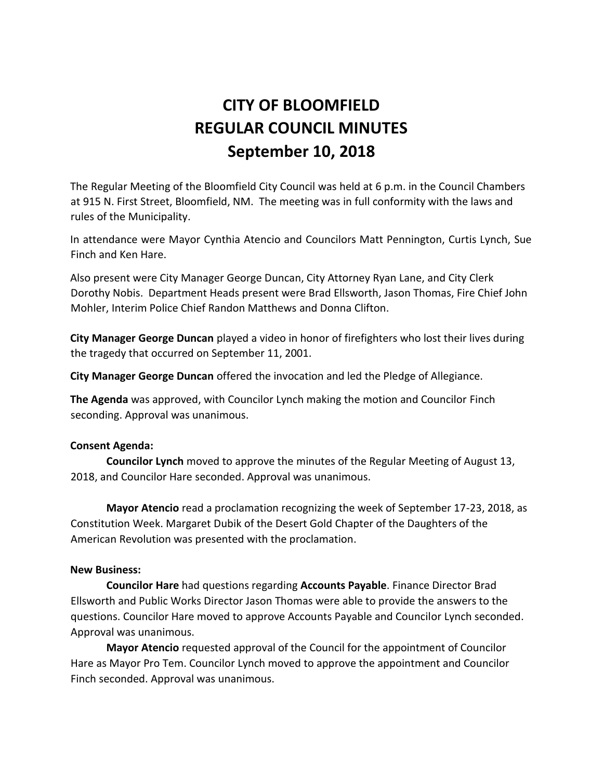# **CITY OF BLOOMFIELD REGULAR COUNCIL MINUTES September 10, 2018**

The Regular Meeting of the Bloomfield City Council was held at 6 p.m. in the Council Chambers at 915 N. First Street, Bloomfield, NM. The meeting was in full conformity with the laws and rules of the Municipality.

In attendance were Mayor Cynthia Atencio and Councilors Matt Pennington, Curtis Lynch, Sue Finch and Ken Hare.

Also present were City Manager George Duncan, City Attorney Ryan Lane, and City Clerk Dorothy Nobis. Department Heads present were Brad Ellsworth, Jason Thomas, Fire Chief John Mohler, Interim Police Chief Randon Matthews and Donna Clifton.

**City Manager George Duncan** played a video in honor of firefighters who lost their lives during the tragedy that occurred on September 11, 2001.

**City Manager George Duncan** offered the invocation and led the Pledge of Allegiance.

**The Agenda** was approved, with Councilor Lynch making the motion and Councilor Finch seconding. Approval was unanimous.

#### **Consent Agenda:**

**Councilor Lynch** moved to approve the minutes of the Regular Meeting of August 13, 2018, and Councilor Hare seconded. Approval was unanimous.

**Mayor Atencio** read a proclamation recognizing the week of September 17-23, 2018, as Constitution Week. Margaret Dubik of the Desert Gold Chapter of the Daughters of the American Revolution was presented with the proclamation.

#### **New Business:**

**Councilor Hare** had questions regarding **Accounts Payable**. Finance Director Brad Ellsworth and Public Works Director Jason Thomas were able to provide the answers to the questions. Councilor Hare moved to approve Accounts Payable and Councilor Lynch seconded. Approval was unanimous.

**Mayor Atencio** requested approval of the Council for the appointment of Councilor Hare as Mayor Pro Tem. Councilor Lynch moved to approve the appointment and Councilor Finch seconded. Approval was unanimous.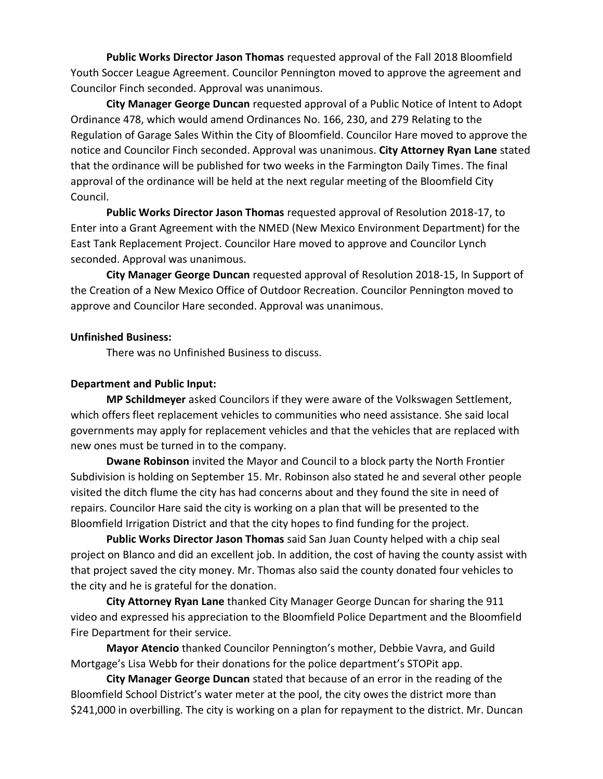**Public Works Director Jason Thomas** requested approval of the Fall 2018 Bloomfield Youth Soccer League Agreement. Councilor Pennington moved to approve the agreement and Councilor Finch seconded. Approval was unanimous.

**City Manager George Duncan** requested approval of a Public Notice of Intent to Adopt Ordinance 478, which would amend Ordinances No. 166, 230, and 279 Relating to the Regulation of Garage Sales Within the City of Bloomfield. Councilor Hare moved to approve the notice and Councilor Finch seconded. Approval was unanimous. **City Attorney Ryan Lane** stated that the ordinance will be published for two weeks in the Farmington Daily Times. The final approval of the ordinance will be held at the next regular meeting of the Bloomfield City Council.

**Public Works Director Jason Thomas** requested approval of Resolution 2018-17, to Enter into a Grant Agreement with the NMED (New Mexico Environment Department) for the East Tank Replacement Project. Councilor Hare moved to approve and Councilor Lynch seconded. Approval was unanimous.

**City Manager George Duncan** requested approval of Resolution 2018-15, In Support of the Creation of a New Mexico Office of Outdoor Recreation. Councilor Pennington moved to approve and Councilor Hare seconded. Approval was unanimous.

#### **Unfinished Business:**

There was no Unfinished Business to discuss.

## **Department and Public Input:**

**MP Schildmeyer** asked Councilors if they were aware of the Volkswagen Settlement, which offers fleet replacement vehicles to communities who need assistance. She said local governments may apply for replacement vehicles and that the vehicles that are replaced with new ones must be turned in to the company.

**Dwane Robinson** invited the Mayor and Council to a block party the North Frontier Subdivision is holding on September 15. Mr. Robinson also stated he and several other people visited the ditch flume the city has had concerns about and they found the site in need of repairs. Councilor Hare said the city is working on a plan that will be presented to the Bloomfield Irrigation District and that the city hopes to find funding for the project.

**Public Works Director Jason Thomas** said San Juan County helped with a chip seal project on Blanco and did an excellent job. In addition, the cost of having the county assist with that project saved the city money. Mr. Thomas also said the county donated four vehicles to the city and he is grateful for the donation.

**City Attorney Ryan Lane** thanked City Manager George Duncan for sharing the 911 video and expressed his appreciation to the Bloomfield Police Department and the Bloomfield Fire Department for their service.

**Mayor Atencio** thanked Councilor Pennington's mother, Debbie Vavra, and Guild Mortgage's Lisa Webb for their donations for the police department's STOPit app.

**City Manager George Duncan** stated that because of an error in the reading of the Bloomfield School District's water meter at the pool, the city owes the district more than \$241,000 in overbilling. The city is working on a plan for repayment to the district. Mr. Duncan